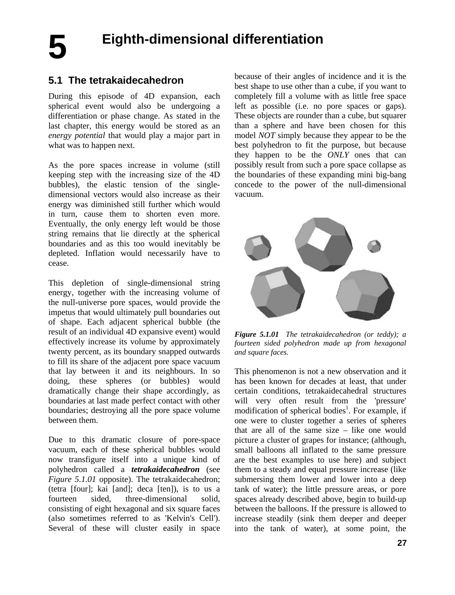**5** 

# **5.1 The tetrakaidecahedron**

During this episode of 4D expansion, each spherical event would also be undergoing a differentiation or phase change. As stated in the last chapter, this energy would be stored as an *energy potential* that would play a major part in what was to happen next.

As the pore spaces increase in volume (still keeping step with the increasing size of the 4D bubbles), the elastic tension of the singledimensional vectors would also increase as their energy was diminished still further which would in turn, cause them to shorten even more. Eventually, the only energy left would be those string remains that lie directly at the spherical boundaries and as this too would inevitably be depleted. Inflation would necessarily have to cease.

This depletion of single-dimensional string energy, together with the increasing volume of the null-universe pore spaces, would provide the impetus that would ultimately pull boundaries out of shape. Each adjacent spherical bubble (the result of an individual 4D expansive event) would effectively increase its volume by approximately twenty percent, as its boundary snapped outwards to fill its share of the adjacent pore space vacuum that lay between it and its neighbours. In so doing, these spheres (or bubbles) would dramatically change their shape accordingly, as boundaries at last made perfect contact with other boundaries; destroying all the pore space volume between them.

Due to this dramatic closure of pore-space vacuum, each of these spherical bubbles would now transfigure itself into a unique kind of polyhedron called a *tetrakaidecahedron* (see *Figure 5.1.01* opposite). The tetrakaidecahedron; (tetra [four]; kai [and]; deca [ten]), is to us a fourteen sided, three-dimensional solid, consisting of eight hexagonal and six square faces (also sometimes referred to as 'Kelvin's Cell'). Several of these will cluster easily in space because of their angles of incidence and it is the best shape to use other than a cube, if you want to completely fill a volume with as little free space left as possible (i.e. no pore spaces or gaps). These objects are rounder than a cube, but squarer than a sphere and have been chosen for this model *NOT* simply because they appear to be the best polyhedron to fit the purpose, but because they happen to be the *ONLY* ones that can possibly result from such a pore space collapse as the boundaries of these expanding mini big-bang concede to the power of the null-dimensional vacuum.



*Figure 5.1.01 The tetrakaidecahedron (or teddy); a fourteen sided polyhedron made up from hexagonal and square faces.*

This phenomenon is not a new observation and it has been known for decades at least, that under certain conditions, tetrakaidecahedral structures will very often result from the 'pressure' modification of spherical bodies<sup>1</sup>. For example, if one were to cluster together a series of spheres that are all of the same size – like one would picture a cluster of grapes for instance; (although, small balloons all inflated to the same pressure are the best examples to use here) and subject them to a steady and equal pressure increase (like submersing them lower and lower into a deep tank of water); the little pressure areas, or pore spaces already described above, begin to build-up between the balloons. If the pressure is allowed to increase steadily (sink them deeper and deeper into the tank of water), at some point, the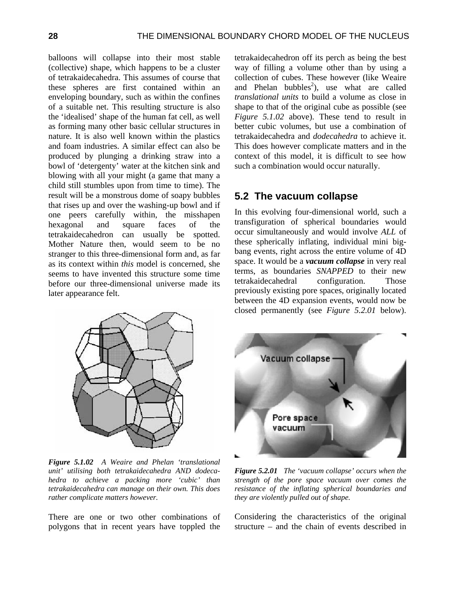balloons will collapse into their most stable (collective) shape, which happens to be a cluster of tetrakaidecahedra. This assumes of course that these spheres are first contained within an enveloping boundary, such as within the confines of a suitable net. This resulting structure is also the 'idealised' shape of the human fat cell, as well as forming many other basic cellular structures in nature. It is also well known within the plastics and foam industries. A similar effect can also be produced by plunging a drinking straw into a bowl of 'detergenty' water at the kitchen sink and blowing with all your might (a game that many a child still stumbles upon from time to time). The result will be a monstrous dome of soapy bubbles that rises up and over the washing-up bowl and if one peers carefully within, the misshapen hexagonal and square faces of the tetrakaidecahedron can usually be spotted. Mother Nature then, would seem to be no stranger to this three-dimensional form and, as far as its context within *this* model is concerned, she seems to have invented this structure some time before our three-dimensional universe made its later appearance felt.



*Figure 5.1.02 A Weaire and Phelan 'translational unit' utilising both tetrakaidecahedra AND dodecahedra to achieve a packing more 'cubic' than tetrakaidecahedra can manage on their own. This does rather complicate matters however.*

There are one or two other combinations of polygons that in recent years have toppled the

tetrakaidecahedron off its perch as being the best way of filling a volume other than by using a collection of cubes. These however (like Weaire and Phelan bubbles<sup>2</sup>), use what are called *translational units* to build a volume as close in shape to that of the original cube as possible (see *Figure 5.1.02* above). These tend to result in better cubic volumes, but use a combination of tetrakaidecahedra and *dodecahedra* to achieve it. This does however complicate matters and in the context of this model, it is difficult to see how such a combination would occur naturally.

### **5.2 The vacuum collapse**

In this evolving four-dimensional world, such a transfiguration of spherical boundaries would occur simultaneously and would involve *ALL* of these spherically inflating, individual mini bigbang events, right across the entire volume of 4D space. It would be a *vacuum collapse* in very real terms, as boundaries *SNAPPED* to their new tetrakaidecahedral configuration. Those previously existing pore spaces, originally located between the 4D expansion events, would now be closed permanently (see *Figure 5.2.01* below).



*Figure 5.2.01 The 'vacuum collapse' occurs when the strength of the pore space vacuum over comes the resistance of the inflating spherical boundaries and they are violently pulled out of shape.*

Considering the characteristics of the original structure – and the chain of events described in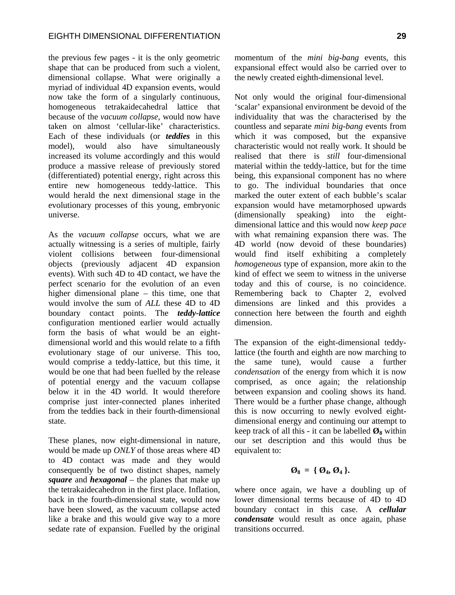the previous few pages - it is the only geometric shape that can be produced from such a violent, dimensional collapse. What were originally a myriad of individual 4D expansion events, would now take the form of a singularly continuous, homogeneous tetrakaidecahedral lattice that because of the *vacuum collapse*, would now have taken on almost 'cellular-like' characteristics. Each of these individuals (or *teddies* in this model), would also have simultaneously increased its volume accordingly and this would produce a massive release of previously stored (differentiated) potential energy, right across this entire new homogeneous teddy-lattice. This would herald the next dimensional stage in the evolutionary processes of this young, embryonic universe.

As the *vacuum collapse* occurs, what we are actually witnessing is a series of multiple, fairly violent collisions between four-dimensional objects (previously adjacent 4D expansion events). With such 4D to 4D contact, we have the perfect scenario for the evolution of an even higher dimensional plane – this time, one that would involve the sum of *ALL* these 4D to 4D boundary contact points. The *teddy-lattice* configuration mentioned earlier would actually form the basis of what would be an eightdimensional world and this would relate to a fifth evolutionary stage of our universe. This too, would comprise a teddy-lattice, but this time, it would be one that had been fuelled by the release of potential energy and the vacuum collapse below it in the 4D world. It would therefore comprise just inter-connected planes inherited from the teddies back in their fourth-dimensional state.

These planes, now eight-dimensional in nature, would be made up *ONLY* of those areas where 4D to 4D contact was made and they would consequently be of two distinct shapes, namely *square* and *hexagonal* – the planes that make up the tetrakaidecahedron in the first place. Inflation, back in the fourth-dimensional state, would now have been slowed, as the vacuum collapse acted like a brake and this would give way to a more sedate rate of expansion. Fuelled by the original momentum of the *mini big-bang* events, this expansional effect would also be carried over to the newly created eighth-dimensional level.

Not only would the original four-dimensional 'scalar' expansional environment be devoid of the individuality that was the characterised by the countless and separate *mini big-bang* events from which it was composed, but the expansive characteristic would not really work. It should be realised that there is *still* four-dimensional material within the teddy-lattice, but for the time being, this expansional component has no where to go. The individual boundaries that once marked the outer extent of each bubble's scalar expansion would have metamorphosed upwards (dimensionally speaking) into the eightdimensional lattice and this would now *keep pace*  with what remaining expansion there was. The 4D world (now devoid of these boundaries) would find itself exhibiting a completely *homogeneous* type of expansion, more akin to the kind of effect we seem to witness in the universe today and this of course, is no coincidence. Remembering back to Chapter 2, evolved dimensions are linked and this provides a connection here between the fourth and eighth dimension.

The expansion of the eight-dimensional teddylattice (the fourth and eighth are now marching to the same tune), would cause a further *condensation* of the energy from which it is now comprised, as once again; the relationship between expansion and cooling shows its hand. There would be a further phase change, although this is now occurring to newly evolved eightdimensional energy and continuing our attempt to keep track of all this - it can be labelled  $\mathcal{O}_8$  within our set description and this would thus be equivalent to:

#### $\mathcal{Q}_8 = \{ \varnothing_4, \varnothing_4 \}.$

where once again, we have a doubling up of lower dimensional terms because of 4D to 4D boundary contact in this case. A *cellular condensate* would result as once again, phase transitions occurred.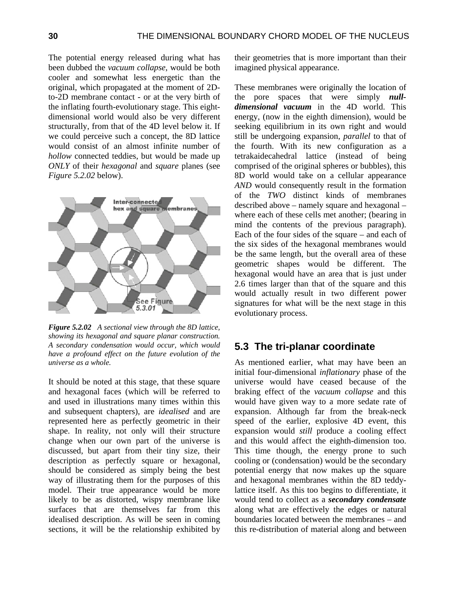The potential energy released during what has been dubbed the *vacuum collapse*, would be both cooler and somewhat less energetic than the original, which propagated at the moment of 2Dto-2D membrane contact - or at the very birth of the inflating fourth-evolutionary stage. This eightdimensional world would also be very different structurally, from that of the 4D level below it. If we could perceive such a concept, the 8D lattice would consist of an almost infinite number of *hollow* connected teddies, but would be made up *ONLY* of their *hexagonal* and *square* planes (see *Figure 5.2.02* below).



*Figure 5.2.02 A sectional view through the 8D lattice, showing its hexagonal and square planar construction. A secondary condensation would occur, which would have a profound effect on the future evolution of the universe as a whole.*

It should be noted at this stage, that these square and hexagonal faces (which will be referred to and used in illustrations many times within this and subsequent chapters), are *idealised* and are represented here as perfectly geometric in their shape. In reality, not only will their structure change when our own part of the universe is discussed, but apart from their tiny size, their description as perfectly square or hexagonal, should be considered as simply being the best way of illustrating them for the purposes of this model. Their true appearance would be more likely to be as distorted, wispy membrane like surfaces that are themselves far from this idealised description. As will be seen in coming sections, it will be the relationship exhibited by their geometries that is more important than their imagined physical appearance.

These membranes were originally the location of the pore spaces that were simply *nulldimensional vacuum* in the 4D world. This energy, (now in the eighth dimension), would be seeking equilibrium in its own right and would still be undergoing expansion, *parallel* to that of the fourth. With its new configuration as a tetrakaidecahedral lattice (instead of being comprised of the original spheres or bubbles), this 8D world would take on a cellular appearance *AND* would consequently result in the formation of the *TWO* distinct kinds of membranes described above – namely square and hexagonal – where each of these cells met another; (bearing in mind the contents of the previous paragraph). Each of the four sides of the square – and each of the six sides of the hexagonal membranes would be the same length, but the overall area of these geometric shapes would be different. The hexagonal would have an area that is just under 2.6 times larger than that of the square and this would actually result in two different power signatures for what will be the next stage in this evolutionary process.

### **5.3 The tri-planar coordinate**

As mentioned earlier, what may have been an initial four-dimensional *inflationary* phase of the universe would have ceased because of the braking effect of the *vacuum collapse* and this would have given way to a more sedate rate of expansion. Although far from the break-neck speed of the earlier, explosive 4D event, this expansion would *still* produce a cooling effect and this would affect the eighth-dimension too. This time though, the energy prone to such cooling or (condensation) would be the secondary potential energy that now makes up the square and hexagonal membranes within the 8D teddylattice itself. As this too begins to differentiate, it would tend to collect as a *secondary condensate* along what are effectively the edges or natural boundaries located between the membranes – and this re-distribution of material along and between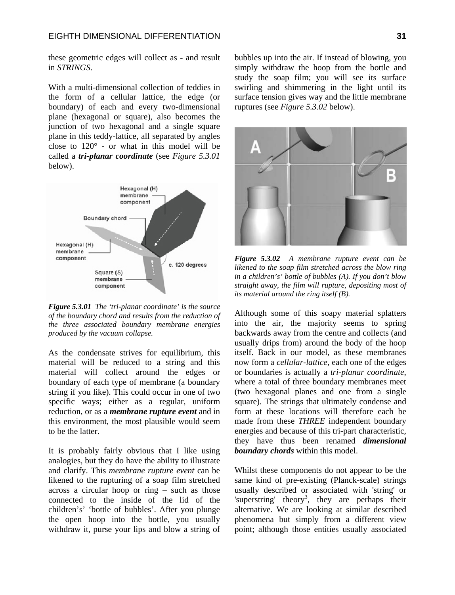these geometric edges will collect as - and result in *STRINGS*.

With a multi-dimensional collection of teddies in the form of a cellular lattice, the edge (or boundary) of each and every two-dimensional plane (hexagonal or square), also becomes the junction of two hexagonal and a single square plane in this teddy-lattice, all separated by angles close to 120° - or what in this model will be called a *tri-planar coordinate* (see *Figure 5.3.01*  below).



*Figure 5.3.01 The 'tri-planar coordinate' is the source of the boundary chord and results from the reduction of the three associated boundary membrane energies produced by the vacuum collapse.*

As the condensate strives for equilibrium, this material will be reduced to a string and this material will collect around the edges or boundary of each type of membrane (a boundary string if you like). This could occur in one of two specific ways; either as a regular, uniform reduction, or as a *membrane rupture event* and in this environment, the most plausible would seem to be the latter.

It is probably fairly obvious that I like using analogies, but they do have the ability to illustrate and clarify. This *membrane rupture event* can be likened to the rupturing of a soap film stretched across a circular hoop or ring – such as those connected to the inside of the lid of the children's' 'bottle of bubbles'. After you plunge the open hoop into the bottle, you usually withdraw it, purse your lips and blow a string of bubbles up into the air. If instead of blowing, you simply withdraw the hoop from the bottle and study the soap film; you will see its surface swirling and shimmering in the light until its surface tension gives way and the little membrane ruptures (see *Figure 5.3.02* below).



*Figure 5.3.02 A membrane rupture event can be likened to the soap film stretched across the blow ring in a children's' bottle of bubbles (A). If you don't blow straight away, the film will rupture, depositing most of its material around the ring itself (B).*

Although some of this soapy material splatters into the air, the majority seems to spring backwards away from the centre and collects (and usually drips from) around the body of the hoop itself. Back in our model, as these membranes now form a *cellular-lattice*, each one of the edges or boundaries is actually a *tri-planar coordinate*, where a total of three boundary membranes meet (two hexagonal planes and one from a single square). The strings that ultimately condense and form at these locations will therefore each be made from these *THREE* independent boundary energies and because of this tri-part characteristic, they have thus been renamed *dimensional boundary chords* within this model.

Whilst these components do not appear to be the same kind of pre-existing (Planck-scale) strings usually described or associated with 'string' or 'superstring' theory<sup>3</sup>, they are perhaps their alternative. We are looking at similar described phenomena but simply from a different view point; although those entities usually associated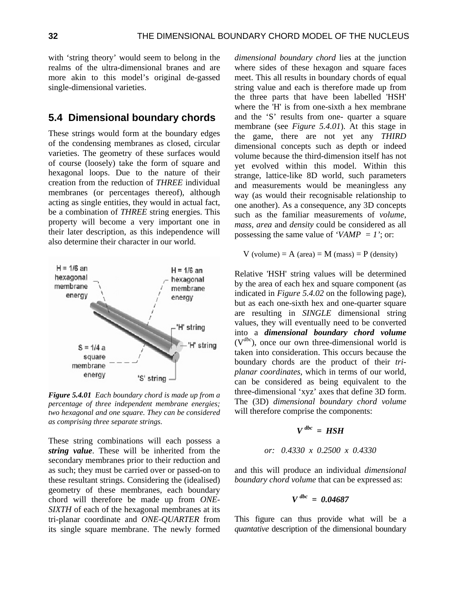with 'string theory' would seem to belong in the realms of the ultra-dimensional branes and are more akin to this model's original de-gassed single-dimensional varieties.

## **5.4 Dimensional boundary chords**

These strings would form at the boundary edges of the condensing membranes as closed, circular varieties. The geometry of these surfaces would of course (loosely) take the form of square and hexagonal loops. Due to the nature of their creation from the reduction of *THREE* individual membranes (or percentages thereof), although acting as single entities, they would in actual fact, be a combination of *THREE* string energies. This property will become a very important one in their later description, as this independence will also determine their character in our world.



*Figure 5.4.01 Each boundary chord is made up from a percentage of three independent membrane energies; two hexagonal and one square. They can be considered as comprising three separate strings.*

These string combinations will each possess a *string value*. These will be inherited from the secondary membranes prior to their reduction and as such; they must be carried over or passed-on to these resultant strings. Considering the (idealised) geometry of these membranes, each boundary chord will therefore be made up from *ONE-SIXTH* of each of the hexagonal membranes at its tri-planar coordinate and *ONE-QUARTER* from its single square membrane. The newly formed *dimensional boundary chord* lies at the junction where sides of these hexagon and square faces meet. This all results in boundary chords of equal string value and each is therefore made up from the three parts that have been labelled 'HSH' where the 'H' is from one-sixth a hex membrane and the 'S' results from one- quarter a square membrane (see *Figure 5.4.01*). At this stage in the game, there are not yet any *THIRD* dimensional concepts such as depth or indeed volume because the third-dimension itself has not yet evolved within this model. Within this strange, lattice-like 8D world, such parameters and measurements would be meaningless any way (as would their recognisable relationship to one another). As a consequence, any 3D concepts such as the familiar measurements of *volume, mass, area* and *density* could be considered as all possessing the same value of *'VAMP = 1'*; or:

 $V$  (volume) = A (area) = M (mass) = P (density)

Relative 'HSH' string values will be determined by the area of each hex and square component (as indicated in *Figure 5.4.02* on the following page), but as each one-sixth hex and one-quarter square are resulting in *SINGLE* dimensional string values, they will eventually need to be converted into a *dimensional boundary chord volume* (V*dbc*), once our own three-dimensional world is taken into consideration. This occurs because the boundary chords are the product of their *triplanar coordinates*, which in terms of our world, can be considered as being equivalent to the three-dimensional 'xyz' axes that define 3D form. The (3D) *dimensional boundary chord volume* will therefore comprise the components:

$$
V^{dbc} = HSH
$$

$$
or: 0.4330 \times 0.2500 \times 0.4330
$$

and this will produce an individual *dimensional boundary chord volume* that can be expressed as:

$$
V^{dbc} = 0.04687
$$

This figure can thus provide what will be a *quantative* description of the dimensional boundary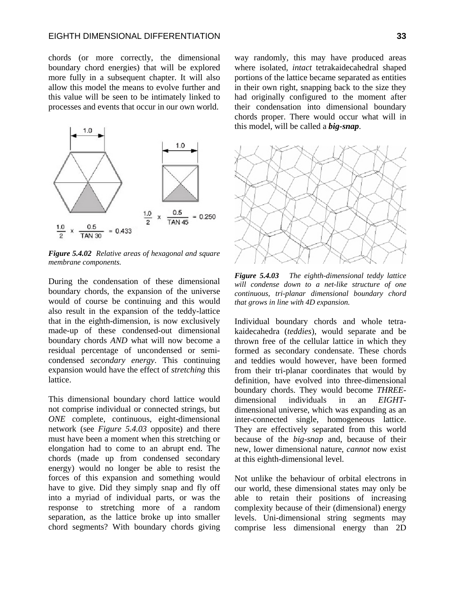chords (or more correctly, the dimensional boundary chord energies) that will be explored more fully in a subsequent chapter. It will also allow this model the means to evolve further and this value will be seen to be intimately linked to processes and events that occur in our own world.



*Figure 5.4.02 Relative areas of hexagonal and square membrane components.* 

During the condensation of these dimensional boundary chords, the expansion of the universe would of course be continuing and this would also result in the expansion of the teddy-lattice that in the eighth-dimension, is now exclusively made-up of these condensed-out dimensional boundary chords *AND* what will now become a residual percentage of uncondensed or semicondensed *secondary energy*. This continuing expansion would have the effect of *stretching* this lattice.

This dimensional boundary chord lattice would not comprise individual or connected strings, but *ONE* complete, continuous, eight-dimensional network (see *Figure 5.4.03* opposite) and there must have been a moment when this stretching or elongation had to come to an abrupt end. The chords (made up from condensed secondary energy) would no longer be able to resist the forces of this expansion and something would have to give. Did they simply snap and fly off into a myriad of individual parts, or was the response to stretching more of a random separation, as the lattice broke up into smaller chord segments? With boundary chords giving way randomly, this may have produced areas where isolated, *intact* tetrakaidecahedral shaped portions of the lattice became separated as entities in their own right, snapping back to the size they had originally configured to the moment after their condensation into dimensional boundary chords proper. There would occur what will in this model, will be called a *big-snap*.



*Figure 5.4.03 The eighth-dimensional teddy lattice will condense down to a net-like structure of one continuous, tri-planar dimensional boundary chord that grows in line with 4D expansion.*

Individual boundary chords and whole tetrakaidecahedra (*teddies*), would separate and be thrown free of the cellular lattice in which they formed as secondary condensate. These chords and teddies would however, have been formed from their tri-planar coordinates that would by definition, have evolved into three-dimensional boundary chords. They would become *THREE*dimensional individuals in an *EIGHT*dimensional universe, which was expanding as an inter-connected single, homogeneous lattice. They are effectively separated from this world because of the *big-snap* and, because of their new, lower dimensional nature, *cannot* now exist at this eighth-dimensional level.

Not unlike the behaviour of orbital electrons in our world, these dimensional states may only be able to retain their positions of increasing complexity because of their (dimensional) energy levels. Uni-dimensional string segments may comprise less dimensional energy than 2D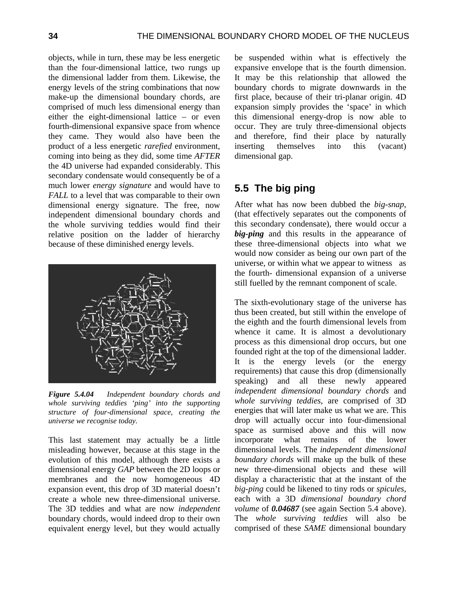objects, while in turn, these may be less energetic than the four-dimensional lattice, two rungs up the dimensional ladder from them. Likewise, the energy levels of the string combinations that now make-up the dimensional boundary chords, are comprised of much less dimensional energy than either the eight-dimensional lattice – or even fourth-dimensional expansive space from whence they came. They would also have been the product of a less energetic *rarefied* environment, coming into being as they did, some time *AFTER* the 4D universe had expanded considerably. This secondary condensate would consequently be of a much lower *energy signature* and would have to *FALL* to a level that was comparable to their own dimensional energy signature. The free, now independent dimensional boundary chords and the whole surviving teddies would find their relative position on the ladder of hierarchy because of these diminished energy levels.



*Figure 5.4.04 Independent boundary chords and whole surviving teddies 'ping' into the supporting structure of four-dimensional space, creating the universe we recognise today.*

This last statement may actually be a little misleading however, because at this stage in the evolution of this model, although there exists a dimensional energy *GAP* between the 2D loops or membranes and the now homogeneous 4D expansion event, this drop of 3D material doesn't create a whole new three-dimensional universe. The 3D teddies and what are now *independent* boundary chords, would indeed drop to their own equivalent energy level, but they would actually be suspended within what is effectively the expansive envelope that is the fourth dimension. It may be this relationship that allowed the boundary chords to migrate downwards in the first place, because of their tri-planar origin. 4D expansion simply provides the 'space' in which this dimensional energy-drop is now able to occur. They are truly three-dimensional objects and therefore, find their place by naturally inserting themselves into this (vacant) dimensional gap.

## **5.5 The big ping**

After what has now been dubbed the *big-snap*, (that effectively separates out the components of this secondary condensate), there would occur a *big-ping* and this results in the appearance of these three-dimensional objects into what we would now consider as being our own part of the universe, or within what we appear to witness as the fourth- dimensional expansion of a universe still fuelled by the remnant component of scale.

The sixth-evolutionary stage of the universe has thus been created, but still within the envelope of the eighth and the fourth dimensional levels from whence it came. It is almost a devolutionary process as this dimensional drop occurs, but one founded right at the top of the dimensional ladder. It is the energy levels (or the energy requirements) that cause this drop (dimensionally speaking) and all these newly appeared *independent dimensional boundary chords* and *whole surviving teddies*, are comprised of 3D energies that will later make us what we are. This drop will actually occur into four-dimensional space as surmised above and this will now incorporate what remains of the lower dimensional levels. The *independent dimensional boundary chords* will make up the bulk of these new three-dimensional objects and these will display a characteristic that at the instant of the *big-ping* could be likened to tiny rods or *spicules*, each with a 3D *dimensional boundary chord volume* of *0.04687* (see again Section 5.4 above). The *whole surviving teddies* will also be comprised of these *SAME* dimensional boundary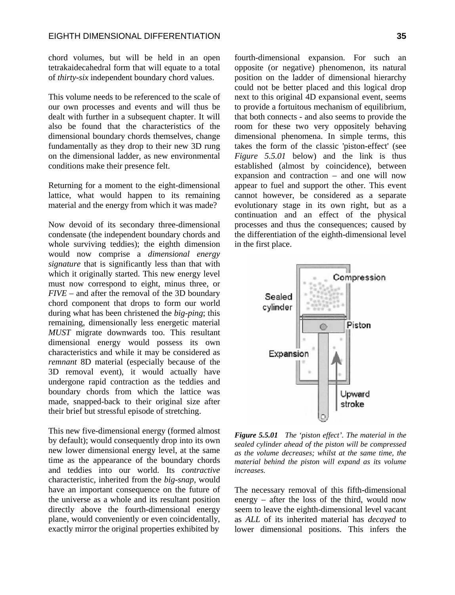chord volumes, but will be held in an open tetrakaidecahedral form that will equate to a total of *thirty-six* independent boundary chord values.

This volume needs to be referenced to the scale of our own processes and events and will thus be dealt with further in a subsequent chapter. It will also be found that the characteristics of the dimensional boundary chords themselves, change fundamentally as they drop to their new 3D rung on the dimensional ladder, as new environmental conditions make their presence felt.

Returning for a moment to the eight-dimensional lattice, what would happen to its remaining material and the energy from which it was made?

Now devoid of its secondary three-dimensional condensate (the independent boundary chords and whole surviving teddies); the eighth dimension would now comprise a *dimensional energy signature* that is significantly less than that with which it originally started. This new energy level must now correspond to eight, minus three, or *FIVE* – and after the removal of the 3D boundary chord component that drops to form our world during what has been christened the *big-ping*; this remaining, dimensionally less energetic material *MUST* migrate downwards too. This resultant dimensional energy would possess its own characteristics and while it may be considered as *remnant* 8D material (especially because of the 3D removal event), it would actually have undergone rapid contraction as the teddies and boundary chords from which the lattice was made, snapped-back to their original size after their brief but stressful episode of stretching.

This new five-dimensional energy (formed almost by default); would consequently drop into its own new lower dimensional energy level, at the same time as the appearance of the boundary chords and teddies into our world. Its *contractive* characteristic, inherited from the *big-snap*, would have an important consequence on the future of the universe as a whole and its resultant position directly above the fourth-dimensional energy plane, would conveniently or even coincidentally, exactly mirror the original properties exhibited by

fourth-dimensional expansion. For such an opposite (or negative) phenomenon, its natural position on the ladder of dimensional hierarchy could not be better placed and this logical drop next to this original 4D expansional event, seems to provide a fortuitous mechanism of equilibrium. that both connects - and also seems to provide the room for these two very oppositely behaving dimensional phenomena. In simple terms, this takes the form of the classic 'piston-effect' (see *Figure 5.5.01* below) and the link is thus established (almost by coincidence), between expansion and contraction – and one will now appear to fuel and support the other. This event cannot however, be considered as a separate evolutionary stage in its own right, but as a continuation and an effect of the physical processes and thus the consequences; caused by the differentiation of the eighth-dimensional level in the first place.



*Figure 5.5.01 The 'piston effect'. The material in the sealed cylinder ahead of the piston will be compressed as the volume decreases; whilst at the same time, the material behind the piston will expand as its volume increases.*

The necessary removal of this fifth-dimensional energy – after the loss of the third, would now seem to leave the eighth-dimensional level vacant as *ALL* of its inherited material has *decayed* to lower dimensional positions. This infers the